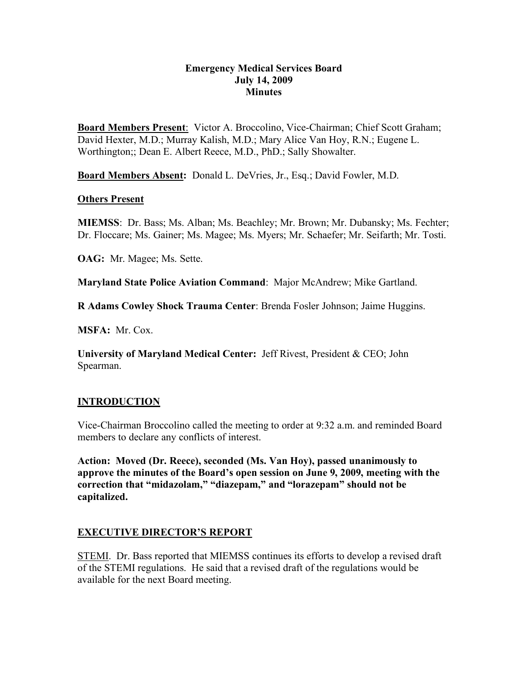### **Emergency Medical Services Board July 14, 2009 Minutes**

**Board Members Present**: Victor A. Broccolino, Vice-Chairman; Chief Scott Graham; David Hexter, M.D.; Murray Kalish, M.D.; Mary Alice Van Hoy, R.N.; Eugene L. Worthington;; Dean E. Albert Reece, M.D., PhD.; Sally Showalter.

**Board Members Absent:** Donald L. DeVries, Jr., Esq.; David Fowler, M.D.

### **Others Present**

**MIEMSS**: Dr. Bass; Ms. Alban; Ms. Beachley; Mr. Brown; Mr. Dubansky; Ms. Fechter; Dr. Floccare; Ms. Gainer; Ms. Magee; Ms. Myers; Mr. Schaefer; Mr. Seifarth; Mr. Tosti.

**OAG:** Mr. Magee; Ms. Sette.

**Maryland State Police Aviation Command**: Major McAndrew; Mike Gartland.

**R Adams Cowley Shock Trauma Center**: Brenda Fosler Johnson; Jaime Huggins.

**MSFA:** Mr. Cox.

**University of Maryland Medical Center:** Jeff Rivest, President & CEO; John Spearman.

## **INTRODUCTION**

Vice-Chairman Broccolino called the meeting to order at 9:32 a.m. and reminded Board members to declare any conflicts of interest.

**Action: Moved (Dr. Reece), seconded (Ms. Van Hoy), passed unanimously to approve the minutes of the Board's open session on June 9, 2009, meeting with the correction that "midazolam," "diazepam," and "lorazepam" should not be capitalized.**

## **EXECUTIVE DIRECTOR'S REPORT**

STEMI. Dr. Bass reported that MIEMSS continues its efforts to develop a revised draft of the STEMI regulations. He said that a revised draft of the regulations would be available for the next Board meeting.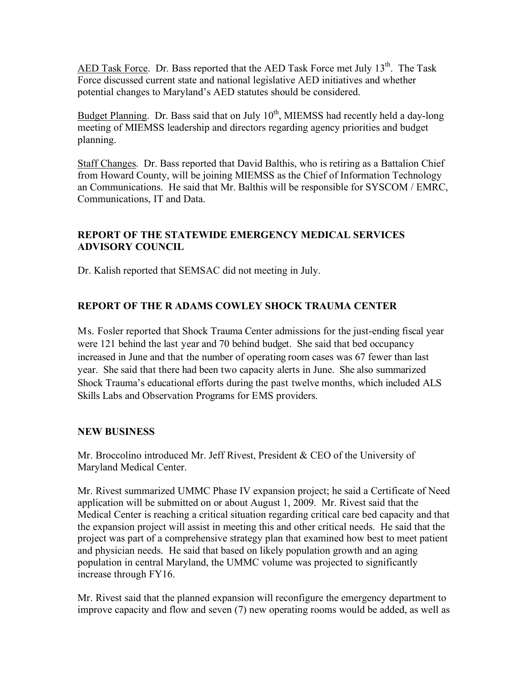AED Task Force. Dr. Bass reported that the AED Task Force met July 13<sup>th</sup>. The Task Force discussed current state and national legislative AED initiatives and whether potential changes to Maryland's AED statutes should be considered.

Budget Planning. Dr. Bass said that on July  $10^{th}$ , MIEMSS had recently held a day-long meeting of MIEMSS leadership and directors regarding agency priorities and budget planning.

Staff Changes. Dr. Bass reported that David Balthis, who is retiring as a Battalion Chief from Howard County, will be joining MIEMSS as the Chief of Information Technology an Communications. He said that Mr. Balthis will be responsible for SYSCOM / EMRC, Communications, IT and Data.

## **REPORT OF THE STATEWIDE EMERGENCY MEDICAL SERVICES ADVISORY COUNCIL**

Dr. Kalish reported that SEMSAC did not meeting in July.

# **REPORT OF THE R ADAMS COWLEY SHOCK TRAUMA CENTER**

Ms. Fosler reported that Shock Trauma Center admissions for the just-ending fiscal year were 121 behind the last year and 70 behind budget. She said that bed occupancy increased in June and that the number of operating room cases was 67 fewer than last year. She said that there had been two capacity alerts in June. She also summarized Shock Trauma's educational efforts during the past twelve months, which included ALS Skills Labs and Observation Programs for EMS providers.

## **NEW BUSINESS**

Mr. Broccolino introduced Mr. Jeff Rivest, President & CEO of the University of Maryland Medical Center.

Mr. Rivest summarized UMMC Phase IV expansion project; he said a Certificate of Need application will be submitted on or about August 1, 2009. Mr. Rivest said that the Medical Center is reaching a critical situation regarding critical care bed capacity and that the expansion project will assist in meeting this and other critical needs. He said that the project was part of a comprehensive strategy plan that examined how best to meet patient and physician needs. He said that based on likely population growth and an aging population in central Maryland, the UMMC volume was projected to significantly increase through FY16.

Mr. Rivest said that the planned expansion will reconfigure the emergency department to improve capacity and flow and seven (7) new operating rooms would be added, as well as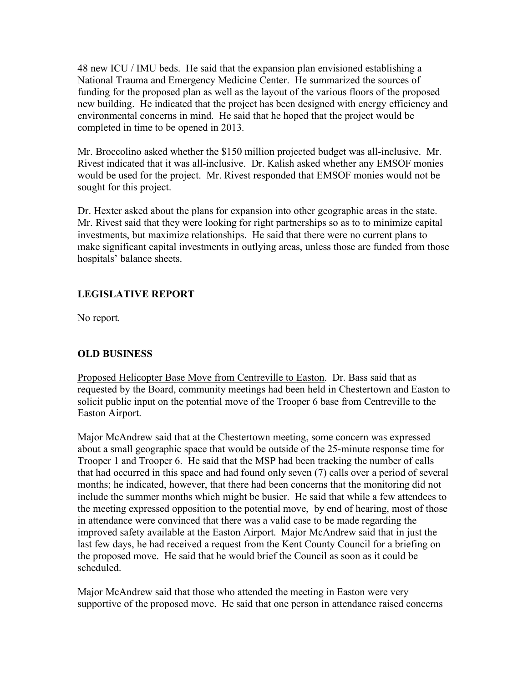48 new ICU / IMU beds. He said that the expansion plan envisioned establishing a National Trauma and Emergency Medicine Center. He summarized the sources of funding for the proposed plan as well as the layout of the various floors of the proposed new building. He indicated that the project has been designed with energy efficiency and environmental concerns in mind. He said that he hoped that the project would be completed in time to be opened in 2013.

Mr. Broccolino asked whether the \$150 million projected budget was all-inclusive. Mr. Rivest indicated that it was all-inclusive. Dr. Kalish asked whether any EMSOF monies would be used for the project. Mr. Rivest responded that EMSOF monies would not be sought for this project.

Dr. Hexter asked about the plans for expansion into other geographic areas in the state. Mr. Rivest said that they were looking for right partnerships so as to to minimize capital investments, but maximize relationships. He said that there were no current plans to make significant capital investments in outlying areas, unless those are funded from those hospitals' balance sheets.

# **LEGISLATIVE REPORT**

No report.

# **OLD BUSINESS**

Proposed Helicopter Base Move from Centreville to Easton. Dr. Bass said that as requested by the Board, community meetings had been held in Chestertown and Easton to solicit public input on the potential move of the Trooper 6 base from Centreville to the Easton Airport.

Major McAndrew said that at the Chestertown meeting, some concern was expressed about a small geographic space that would be outside of the 25-minute response time for Trooper 1 and Trooper 6. He said that the MSP had been tracking the number of calls that had occurred in this space and had found only seven (7) calls over a period of several months; he indicated, however, that there had been concerns that the monitoring did not include the summer months which might be busier. He said that while a few attendees to the meeting expressed opposition to the potential move, by end of hearing, most of those in attendance were convinced that there was a valid case to be made regarding the improved safety available at the Easton Airport. Major McAndrew said that in just the last few days, he had received a request from the Kent County Council for a briefing on the proposed move. He said that he would brief the Council as soon as it could be scheduled.

Major McAndrew said that those who attended the meeting in Easton were very supportive of the proposed move. He said that one person in attendance raised concerns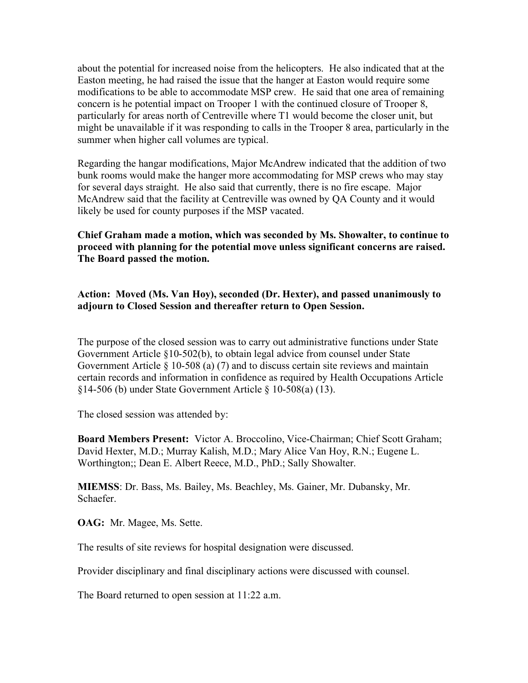about the potential for increased noise from the helicopters. He also indicated that at the Easton meeting, he had raised the issue that the hanger at Easton would require some modifications to be able to accommodate MSP crew. He said that one area of remaining concern is he potential impact on Trooper 1 with the continued closure of Trooper 8, particularly for areas north of Centreville where T1 would become the closer unit, but might be unavailable if it was responding to calls in the Trooper 8 area, particularly in the summer when higher call volumes are typical.

Regarding the hangar modifications, Major McAndrew indicated that the addition of two bunk rooms would make the hanger more accommodating for MSP crews who may stay for several days straight. He also said that currently, there is no fire escape. Major McAndrew said that the facility at Centreville was owned by QA County and it would likely be used for county purposes if the MSP vacated.

**Chief Graham made a motion, which was seconded by Ms. Showalter, to continue to proceed with planning for the potential move unless significant concerns are raised. The Board passed the motion.**

### **Action: Moved (Ms. Van Hoy), seconded (Dr. Hexter), and passed unanimously to adjourn to Closed Session and thereafter return to Open Session.**

The purpose of the closed session was to carry out administrative functions under State Government Article §10-502(b), to obtain legal advice from counsel under State Government Article § 10-508 (a) (7) and to discuss certain site reviews and maintain certain records and information in confidence as required by Health Occupations Article §14-506 (b) under State Government Article § 10-508(a) (13).

The closed session was attended by:

**Board Members Present:** Victor A. Broccolino, Vice-Chairman; Chief Scott Graham; David Hexter, M.D.; Murray Kalish, M.D.; Mary Alice Van Hoy, R.N.; Eugene L. Worthington;; Dean E. Albert Reece, M.D., PhD.; Sally Showalter.

**MIEMSS**: Dr. Bass, Ms. Bailey, Ms. Beachley, Ms. Gainer, Mr. Dubansky, Mr. Schaefer.

**OAG:** Mr. Magee, Ms. Sette.

The results of site reviews for hospital designation were discussed.

Provider disciplinary and final disciplinary actions were discussed with counsel.

The Board returned to open session at 11:22 a.m.